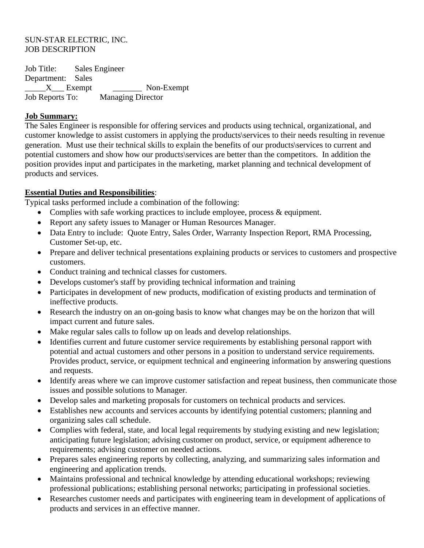#### SUN-STAR ELECTRIC, INC. JOB DESCRIPTION

Job Title: Sales Engineer Department: Sales X Exempt Non-Exempt Job Reports To: Managing Director

#### **Job Summary:**

The Sales Engineer is responsible for offering services and products using technical, organizational, and customer knowledge to assist customers in applying the products\services to their needs resulting in revenue generation. Must use their technical skills to explain the benefits of our products\services to current and potential customers and show how our products\services are better than the competitors. In addition the position provides input and participates in the marketing, market planning and technical development of products and services.

## **Essential Duties and Responsibilities**:

Typical tasks performed include a combination of the following:

- Complies with safe working practices to include employee, process & equipment.
- Report any safety issues to Manager or Human Resources Manager.
- Data Entry to include: Quote Entry, Sales Order, Warranty Inspection Report, RMA Processing, Customer Set-up, etc.
- Prepare and deliver technical presentations explaining products or services to customers and prospective customers.
- Conduct training and technical classes for customers.
- Develops customer's staff by providing technical information and training
- Participates in development of new products, modification of existing products and termination of ineffective products.
- Research the industry on an on-going basis to know what changes may be on the horizon that will impact current and future sales.
- Make regular sales calls to follow up on leads and develop relationships.
- Identifies current and future customer service requirements by establishing personal rapport with potential and actual customers and other persons in a position to understand service requirements. Provides product, service, or equipment technical and engineering information by answering questions and requests.
- Identify areas where we can improve customer satisfaction and repeat business, then communicate those issues and possible solutions to Manager.
- Develop sales and marketing proposals for customers on technical products and services.
- Establishes new accounts and services accounts by identifying potential customers; planning and organizing sales call schedule.
- Complies with federal, state, and local legal requirements by studying existing and new legislation; anticipating future legislation; advising customer on product, service, or equipment adherence to requirements; advising customer on needed actions.
- Prepares sales engineering reports by collecting, analyzing, and summarizing sales information and engineering and application trends.
- Maintains professional and technical knowledge by attending educational workshops; reviewing professional publications; establishing personal networks; participating in professional societies.
- Researches customer needs and participates with engineering team in development of applications of products and services in an effective manner.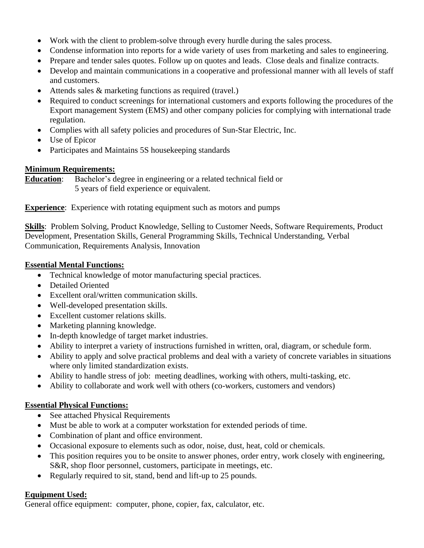- Work with the client to problem-solve through every hurdle during the sales process.
- Condense information into reports for a wide variety of uses from marketing and sales to engineering.
- Prepare and tender sales quotes. Follow up on quotes and leads. Close deals and finalize contracts.
- Develop and maintain communications in a cooperative and professional manner with all levels of staff and customers.
- Attends sales & marketing functions as required (travel.)
- Required to conduct screenings for international customers and exports following the procedures of the Export management System (EMS) and other company policies for complying with international trade regulation.
- Complies with all safety policies and procedures of Sun-Star Electric, Inc.
- Use of Epicor
- Participates and Maintains 5S housekeeping standards

## **Minimum Requirements:**

**Education**: Bachelor's degree in engineering or a related technical field or 5 years of field experience or equivalent.

**Experience**: Experience with rotating equipment such as motors and pumps

**Skills**: Problem Solving, Product Knowledge, Selling to Customer Needs, Software Requirements, Product Development, Presentation Skills, General Programming Skills, Technical Understanding, Verbal Communication, Requirements Analysis, Innovation

## **Essential Mental Functions:**

- Technical knowledge of motor manufacturing special practices.
- Detailed Oriented
- Excellent oral/written communication skills.
- Well-developed presentation skills.
- Excellent customer relations skills.
- Marketing planning knowledge.
- In-depth knowledge of target market industries.
- Ability to interpret a variety of instructions furnished in written, oral, diagram, or schedule form.
- Ability to apply and solve practical problems and deal with a variety of concrete variables in situations where only limited standardization exists.
- Ability to handle stress of job: meeting deadlines, working with others, multi-tasking, etc.
- Ability to collaborate and work well with others (co-workers, customers and vendors)

# **Essential Physical Functions:**

- See attached Physical Requirements
- Must be able to work at a computer workstation for extended periods of time.
- Combination of plant and office environment.
- Occasional exposure to elements such as odor, noise, dust, heat, cold or chemicals.
- This position requires you to be onsite to answer phones, order entry, work closely with engineering, S&R, shop floor personnel, customers, participate in meetings, etc.
- Regularly required to sit, stand, bend and lift-up to 25 pounds.

# **Equipment Used:**

General office equipment: computer, phone, copier, fax, calculator, etc.